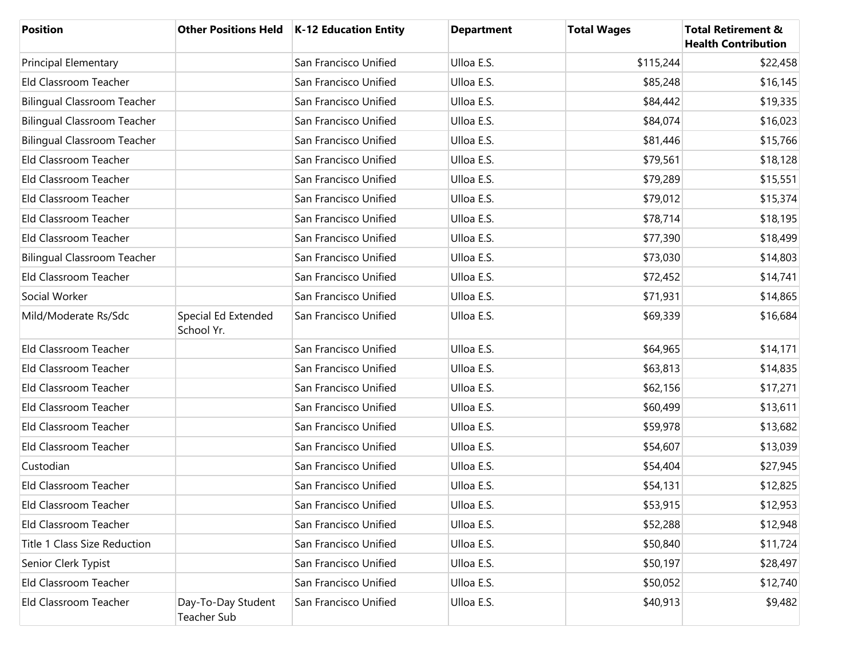| <b>Position</b>                    |                                   | Other Positions Held   K-12 Education Entity | <b>Department</b> | <b>Total Wages</b> | <b>Total Retirement &amp;</b><br><b>Health Contribution</b> |
|------------------------------------|-----------------------------------|----------------------------------------------|-------------------|--------------------|-------------------------------------------------------------|
| <b>Principal Elementary</b>        |                                   | San Francisco Unified                        | Ulloa E.S.        | \$115,244          | \$22,458                                                    |
| Eld Classroom Teacher              |                                   | San Francisco Unified                        | Ulloa E.S.        | \$85,248           | \$16,145                                                    |
| <b>Bilingual Classroom Teacher</b> |                                   | San Francisco Unified                        | Ulloa E.S.        | \$84,442           | \$19,335                                                    |
| <b>Bilingual Classroom Teacher</b> |                                   | San Francisco Unified                        | Ulloa E.S.        | \$84,074           | \$16,023                                                    |
| <b>Bilingual Classroom Teacher</b> |                                   | San Francisco Unified                        | Ulloa E.S.        | \$81,446           | \$15,766                                                    |
| Eld Classroom Teacher              |                                   | San Francisco Unified                        | Ulloa E.S.        | \$79,561           | \$18,128                                                    |
| Eld Classroom Teacher              |                                   | San Francisco Unified                        | Ulloa E.S.        | \$79,289           | \$15,551                                                    |
| Eld Classroom Teacher              |                                   | San Francisco Unified                        | Ulloa E.S.        | \$79,012           | \$15,374                                                    |
| Eld Classroom Teacher              |                                   | San Francisco Unified                        | Ulloa E.S.        | \$78,714           | \$18,195                                                    |
| Eld Classroom Teacher              |                                   | San Francisco Unified                        | Ulloa E.S.        | \$77,390           | \$18,499                                                    |
| <b>Bilingual Classroom Teacher</b> |                                   | San Francisco Unified                        | Ulloa E.S.        | \$73,030           | \$14,803                                                    |
| Eld Classroom Teacher              |                                   | San Francisco Unified                        | Ulloa E.S.        | \$72,452           | \$14,741                                                    |
| Social Worker                      |                                   | San Francisco Unified                        | Ulloa E.S.        | \$71,931           | \$14,865                                                    |
| Mild/Moderate Rs/Sdc               | Special Ed Extended<br>School Yr. | San Francisco Unified                        | Ulloa E.S.        | \$69,339           | \$16,684                                                    |
| Eld Classroom Teacher              |                                   | San Francisco Unified                        | Ulloa E.S.        | \$64,965           | \$14,171                                                    |
| Eld Classroom Teacher              |                                   | San Francisco Unified                        | Ulloa E.S.        | \$63,813           | \$14,835                                                    |
| Eld Classroom Teacher              |                                   | San Francisco Unified                        | Ulloa E.S.        | \$62,156           | \$17,271                                                    |
| Eld Classroom Teacher              |                                   | San Francisco Unified                        | Ulloa E.S.        | \$60,499           | \$13,611                                                    |
| Eld Classroom Teacher              |                                   | San Francisco Unified                        | Ulloa E.S.        | \$59,978           | \$13,682                                                    |
| Eld Classroom Teacher              |                                   | San Francisco Unified                        | Ulloa E.S.        | \$54,607           | \$13,039                                                    |
| Custodian                          |                                   | San Francisco Unified                        | Ulloa E.S.        | \$54,404           | \$27,945                                                    |
| Eld Classroom Teacher              |                                   | San Francisco Unified                        | Ulloa E.S.        | \$54,131           | \$12,825                                                    |
| Eld Classroom Teacher              |                                   | San Francisco Unified                        | Ulloa E.S.        | \$53,915           | \$12,953                                                    |
| Eld Classroom Teacher              |                                   | San Francisco Unified                        | Ulloa E.S.        | \$52,288           | \$12,948                                                    |
| Title 1 Class Size Reduction       |                                   | San Francisco Unified                        | Ulloa E.S.        | \$50,840           | \$11,724                                                    |
| Senior Clerk Typist                |                                   | San Francisco Unified                        | Ulloa E.S.        | \$50,197           | \$28,497                                                    |
| Eld Classroom Teacher              |                                   | San Francisco Unified                        | Ulloa E.S.        | \$50,052           | \$12,740                                                    |
| Eld Classroom Teacher              | Day-To-Day Student<br>Teacher Sub | San Francisco Unified                        | Ulloa E.S.        | \$40,913           | \$9,482                                                     |